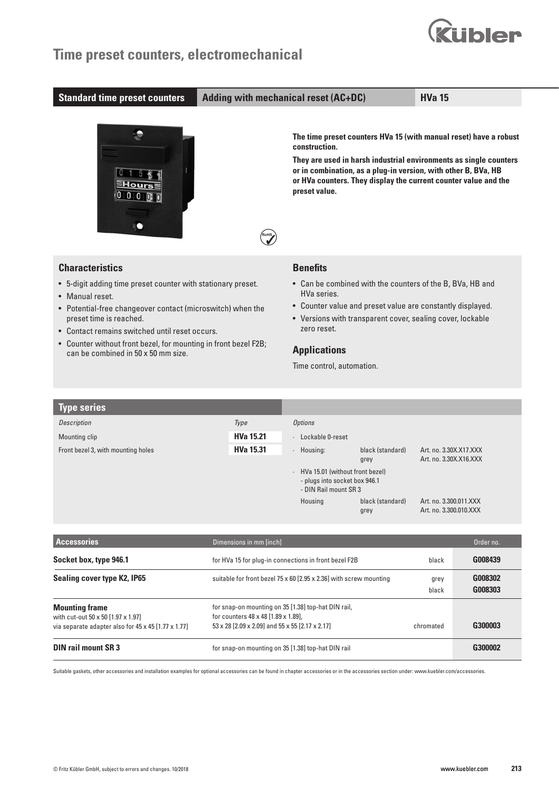## **Time preset counters, electromechanical**

### **Standard time preset counters Adding with mechanical reset (AC+DC) HVa 15**

**RoHS**

**uibler** 



**The time preset counters HVa 15 (with manual reset) have a robust construction.** 

**They are used in harsh industrial environments as single counters or in combination, as a plug-in version, with other B, BVa, HB or HVa counters. They display the current counter value and the preset value.**



- 5-digit adding time preset counter with stationary preset.
- Manual reset.
- Potential-free changeover contact (microswitch) when the preset time is reached.
- Contact remains switched until reset occurs.
- Counter without front bezel, for mounting in front bezel F2B; can be combined in 50 x 50 mm size.

### **Benefits**

- Can be combined with the counters of the B, BVa, HB and HVa series.
- Counter value and preset value are constantly displayed.
- Versions with transparent cover, sealing cover, lockable zero reset.

## **Applications**

Time control, automation.

| <b>Type series</b>                 |                  |                                                                                                     |
|------------------------------------|------------------|-----------------------------------------------------------------------------------------------------|
| Description                        | Type             | <b>Options</b>                                                                                      |
| Mounting clip                      | <b>HVa 15.21</b> | Lockable 0-reset                                                                                    |
| Front bezel 3, with mounting holes | <b>HVa 15.31</b> | black (standard)<br>Housing:<br>Art. no. 3.30X.X17.XXX<br>Art. no. 3.30X.X16.XXX<br>grey            |
|                                    |                  | HVa 15.01 (without front bezel)<br>$\sim$<br>- plugs into socket box 946.1<br>- DIN Rail mount SR 3 |
|                                    |                  | Housing<br>black (standard)<br>Art. no. 3.300.011.XXX<br>Art. no. 3.300.010.XXX<br>grey             |

| <b>Accessories</b>                                                                                                 | Dimensions in mm [inch]                                                                                                                       |               | Order no.          |
|--------------------------------------------------------------------------------------------------------------------|-----------------------------------------------------------------------------------------------------------------------------------------------|---------------|--------------------|
| Socket box, type 946.1                                                                                             | for HVa 15 for plug-in connections in front bezel F2B                                                                                         | black         | G008439            |
| <b>Sealing cover type K2, IP65</b>                                                                                 | suitable for front bezel 75 x 60 [2.95 x 2.36] with screw mounting                                                                            | grey<br>black | G008302<br>G008303 |
| <b>Mounting frame</b><br>with cut-out 50 x 50 [1.97 x 1.97]<br>via separate adapter also for 45 x 45 [1.77 x 1.77] | for snap-on mounting on 35 [1.38] top-hat DIN rail,<br>for counters 48 x 48 [1.89 x 1.89].<br>53 x 28 [2.09 x 2.09] and 55 x 55 [2.17 x 2.17] | chromated     | G300003            |
| <b>DIN rail mount SR 3</b>                                                                                         | for snap-on mounting on 35 [1.38] top-hat DIN rail                                                                                            |               | G300002            |

Suitable gaskets, other accessories and installation examples for optional accessories can be found in chapter accessories or in the accessories section under: www.kuebler.com/accessories.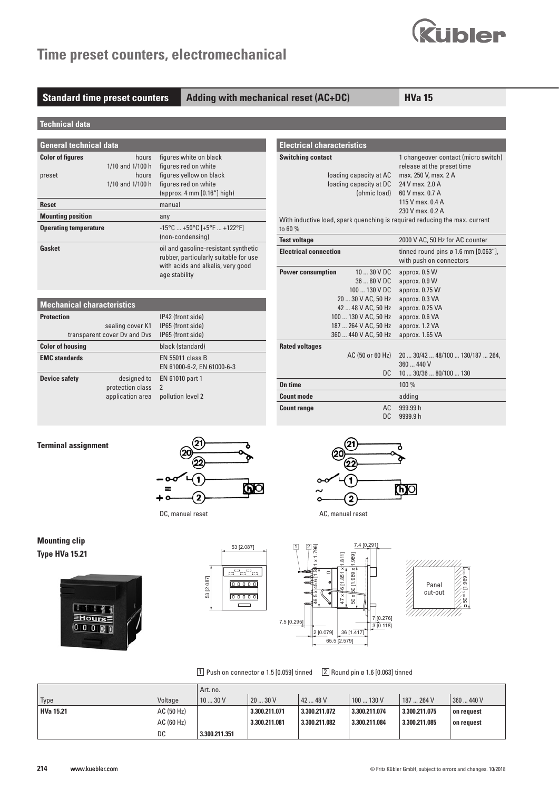# **Time preset counters, electromechanical**



**Standard time preset counters Adding with mechanical reset (AC+DC) HVa 15** 

**Electrical characteristics**

| <b>Technical data</b> |  |
|-----------------------|--|
|                       |  |

| <b>General technical data</b> |                  |                                                                                                                                     |  |  |  |  |
|-------------------------------|------------------|-------------------------------------------------------------------------------------------------------------------------------------|--|--|--|--|
| <b>Color of figures</b>       | hours            | figures white on black                                                                                                              |  |  |  |  |
|                               | 1/10 and 1/100 h | figures red on white                                                                                                                |  |  |  |  |
| preset                        | hours            | figures yellow on black                                                                                                             |  |  |  |  |
|                               | 1/10 and 1/100 h | figures red on white                                                                                                                |  |  |  |  |
|                               |                  | $\alpha$ (approx. 4 mm $[0.16"$ ] high)                                                                                             |  |  |  |  |
| <b>Reset</b>                  |                  | manual                                                                                                                              |  |  |  |  |
| <b>Mounting position</b>      |                  | any                                                                                                                                 |  |  |  |  |
| <b>Operating temperature</b>  |                  | $-15^{\circ}$ C  +50 $^{\circ}$ C [+5 $^{\circ}$ F  +122 $^{\circ}$ F]                                                              |  |  |  |  |
|                               |                  | (non-condensing)                                                                                                                    |  |  |  |  |
| Gasket                        |                  | oil and gasoline-resistant synthetic<br>rubber, particularly suitable for use<br>with acids and alkalis, very good<br>age stability |  |  |  |  |

| <b>Mechanical characteristics</b> |                                                     |                                                                  |  |  |  |  |
|-----------------------------------|-----------------------------------------------------|------------------------------------------------------------------|--|--|--|--|
| <b>Protection</b>                 | sealing cover K1<br>transparent cover Dy and Dys    | IP42 (front side)<br>IP65 (front side)<br>IP65 (front side)      |  |  |  |  |
| <b>Color of housing</b>           |                                                     | black (standard)                                                 |  |  |  |  |
| <b>EMC</b> standards              |                                                     | EN 55011 class B<br>EN 61000-6-2, EN 61000-6-3                   |  |  |  |  |
| <b>Device safety</b>              | designed to<br>protection class<br>application area | EN 61010 part 1<br>$\overline{\phantom{a}}$<br>pollution level 2 |  |  |  |  |

| <b>Switching contact</b>     |                        | 1 changeover contact (micro switch)                                        |
|------------------------------|------------------------|----------------------------------------------------------------------------|
|                              |                        | release at the preset time                                                 |
|                              | loading capacity at AC | max. 250 V, max. 2 A                                                       |
|                              | loading capacity at DC | 24 V max, 2.0 A                                                            |
|                              | (ohmic load)           | 60 V max, 0.7 A                                                            |
|                              |                        | 115 V max, 0.4 A                                                           |
|                              |                        | 230 V max, 0.2 A                                                           |
| to 60 %                      |                        | With inductive load, spark quenching is required reducing the max. current |
| <b>Test voltage</b>          |                        | 2000 V AC, 50 Hz for AC counter                                            |
| <b>Electrical connection</b> |                        | tinned round pins $\varnothing$ 1.6 mm [0.063"],                           |
|                              |                        | with push on connectors                                                    |
| <b>Power consumption</b>     | $1030$ V DC            | approx. 0.5 W                                                              |
|                              | $3680$ VDC             | approx. 0.9 W                                                              |
|                              | 100  130 V DC          | approx. 0.75 W                                                             |
|                              | 20  30 V AC, 50 Hz     | approx. 0.3 VA                                                             |
|                              | 42  48 V AC, 50 Hz     | approx. 0.25 VA                                                            |
|                              | 100  130 V AC, 50 Hz   | approx. 0.6 VA                                                             |
|                              | 187  264 V AC, 50 Hz   | approx. 1.2 VA                                                             |
|                              | 360  440 V AC, 50 Hz   | approx. 1.65 VA                                                            |
| <b>Rated voltages</b>        |                        |                                                                            |
|                              | AC (50 or 60 Hz)       | 20  30/42  48/100  130/187  264,<br>360  440 V                             |
|                              | DC.                    | 1030/3680/100130                                                           |
| On time                      |                        | 100 %                                                                      |
| <b>Count mode</b>            |                        | adding                                                                     |
| <b>Count range</b>           | AC.                    | 999.99 h                                                                   |
|                              | DC                     | 9999.9 h                                                                   |

#### **Terminal assignment**



DC, manual reset **AC**, manual reset



## **Mounting clip Type HVa 15.21**







 $\boxed{1}$  Push on connector ø 1.5 [0.059] tinned  $\boxed{2}$  Round pin ø 1.6 [0.063] tinned

|                  |            | Art. no.      |               |               |               |               |            |
|------------------|------------|---------------|---------------|---------------|---------------|---------------|------------|
| Type             | Voltage    | 1030V         | 20  30 V      | 42  48 V      | 100  130 V    | 187  264 V    | 360  440 V |
| <b>HVa 15.21</b> | AC (50 Hz) |               | 3.300.211.071 | 3.300.211.072 | 3.300.211.074 | 3.300.211.075 | on request |
|                  | AC (60 Hz) |               | 3.300.211.081 | 3.300.211.082 | 3.300.211.084 | 3.300.211.085 | on request |
|                  | DC         | 3.300.211.351 |               |               |               |               |            |